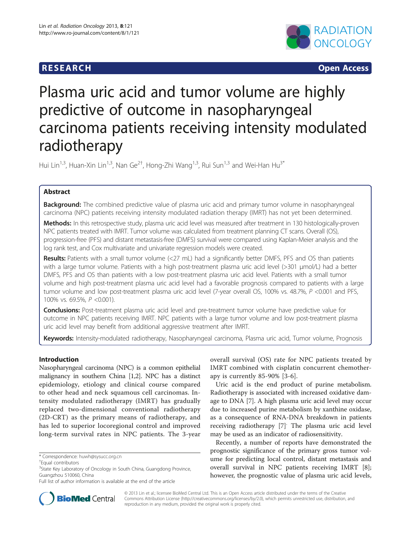## **RESEARCH RESEARCH CONSUMING ACCESS**



# Plasma uric acid and tumor volume are highly predictive of outcome in nasopharyngeal carcinoma patients receiving intensity modulated radiotherapy

Hui Lin<sup>1,3</sup>, Huan-Xin Lin<sup>1,3</sup>, Nan Ge<sup>2†</sup>, Hong-Zhi Wang<sup>1,3</sup>, Rui Sun<sup>1,3</sup> and Wei-Han Hu<sup>3\*</sup>

## Abstract

**Background:** The combined predictive value of plasma uric acid and primary tumor volume in nasopharyngeal carcinoma (NPC) patients receiving intensity modulated radiation therapy (IMRT) has not yet been determined.

Methods: In this retrospective study, plasma uric acid level was measured after treatment in 130 histologically-proven NPC patients treated with IMRT. Tumor volume was calculated from treatment planning CT scans. Overall (OS), progression-free (PFS) and distant metastasis-free (DMFS) survival were compared using Kaplan-Meier analysis and the log rank test, and Cox multivariate and univariate regression models were created.

Results: Patients with a small tumor volume (<27 mL) had a significantly better DMFS, PFS and OS than patients with a large tumor volume. Patients with a high post-treatment plasma uric acid level (>301 μmol/L) had a better DMFS, PFS and OS than patients with a low post-treatment plasma uric acid level. Patients with a small tumor volume and high post-treatment plasma uric acid level had a favorable prognosis compared to patients with a large tumor volume and low post-treatment plasma uric acid level (7-year overall OS, 100% vs. 48.7%, P <0.001 and PFS, 100% vs. 69.5%, P <0.001).

**Conclusions:** Post-treatment plasma uric acid level and pre-treatment tumor volume have predictive value for outcome in NPC patients receiving IMRT. NPC patients with a large tumor volume and low post-treatment plasma uric acid level may benefit from additional aggressive treatment after IMRT.

Keywords: Intensity-modulated radiotherapy, Nasopharyngeal carcinoma, Plasma uric acid, Tumor volume, Prognosis

## Introduction

Nasopharyngeal carcinoma (NPC) is a common epithelial malignancy in southern China [[1,2](#page-5-0)]. NPC has a distinct epidemiology, etiology and clinical course compared to other head and neck squamous cell carcinomas. Intensity modulated radiotherapy (IMRT) has gradually replaced two-dimensional conventional radiotherapy (2D-CRT) as the primary means of radiotherapy, and has led to superior locoregional control and improved long-term survival rates in NPC patients. The 3-year

overall survival (OS) rate for NPC patients treated by IMRT combined with cisplatin concurrent chemotherapy is currently 85-90% [[3](#page-5-0)-[6\]](#page-5-0).

Uric acid is the end product of purine metabolism. Radiotherapy is associated with increased oxidative damage to DNA [\[7](#page-5-0)]. A high plasma uric acid level may occur due to increased purine metabolism by xanthine oxidase, as a consequence of RNA-DNA breakdown in patients receiving radiotherapy [[7\]](#page-5-0). The plasma uric acid level may be used as an indicator of radiosensitivity.

Recently, a number of reports have demonstrated the prognostic significance of the primary gross tumor volume for predicting local control, distant metastasis and overall survival in NPC patients receiving IMRT [\[8](#page-5-0)]; however, the prognostic value of plasma uric acid levels,



© 2013 Lin et al.; licensee BioMed Central Ltd. This is an Open Access article distributed under the terms of the Creative Commons Attribution License [\(http://creativecommons.org/licenses/by/2.0\)](http://creativecommons.org/licenses/by/2.0), which permits unrestricted use, distribution, and reproduction in any medium, provided the original work is properly cited.

<sup>\*</sup> Correspondence: [huwh@sysucc.org.cn](mailto:huwh@sysucc.org.cn) †

Equal contributors

<sup>&</sup>lt;sup>3</sup>State Key Laboratory of Oncology in South China, Guangdong Province, Guangzhou 510060, China

Full list of author information is available at the end of the article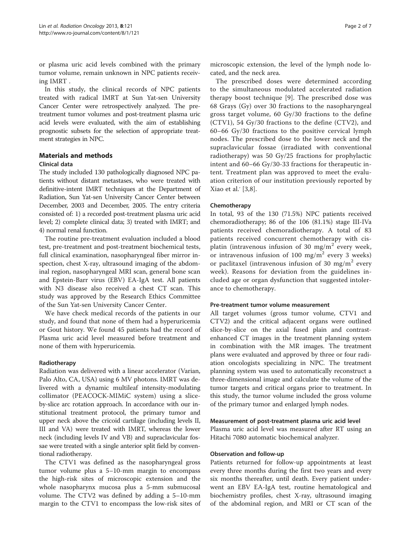or plasma uric acid levels combined with the primary tumor volume, remain unknown in NPC patients receiving IMRT .

In this study, the clinical records of NPC patients treated with radical IMRT at Sun Yat-sen University Cancer Center were retrospectively analyzed. The pretreatment tumor volumes and post-treatment plasma uric acid levels were evaluated, with the aim of establishing prognostic subsets for the selection of appropriate treatment strategies in NPC.

## Materials and methods

## Clinical data

The study included 130 pathologically diagnosed NPC patients without distant metastases, who were treated with definitive-intent IMRT techniques at the Department of Radiation, Sun Yat-sen University Cancer Center between December, 2003 and December, 2005. The entry criteria consisted of: 1) a recorded post-treatment plasma uric acid level; 2) complete clinical data; 3) treated with IMRT; and 4) normal renal function.

The routine pre-treatment evaluation included a blood test, pre-treatment and post-treatment biochemical tests, full clinical examination, nasopharyngeal fiber mirror inspection, chest X-ray, ultrasound imaging of the abdominal region, nasopharyngeal MRI scan, general bone scan and Epstein-Barr virus (EBV) EA-IgA test. All patients with N3 disease also received a chest CT scan. This study was approved by the Research Ethics Committee of the Sun Yat-sen University Cancer Center.

We have check medical records of the patients in our study, and found that none of them had a hyperuricemia or Gout history. We found 45 patients had the record of Plasma uric acid level measured before treatment and none of them with hyperuricemia.

#### Radiotherapy

Radiation was delivered with a linear accelerator (Varian, Palo Alto, CA, USA) using 6 MV photons. IMRT was delivered with a dynamic multileaf intensity-modulating collimator (PEACOCK-MIMiC system) using a sliceby-slice arc rotation approach. In accordance with our institutional treatment protocol, the primary tumor and upper neck above the cricoid cartilage (including levels II, III and VA) were treated with IMRT, whereas the lower neck (including levels IV and VB) and supraclavicular fossae were treated with a single anterior split field by conventional radiotherapy.

The CTV1 was defined as the nasopharyngeal gross tumor volume plus a 5–10-mm margin to encompass the high-risk sites of microscopic extension and the whole nasopharynx mucosa plus a 5-mm submucosal volume. The CTV2 was defined by adding a 5–10-mm margin to the CTV1 to encompass the low-risk sites of

microscopic extension, the level of the lymph node located, and the neck area.

The prescribed doses were determined according to the simultaneous modulated accelerated radiation therapy boost technique [[9\]](#page-5-0). The prescribed dose was 68 Grays (Gy) over 30 fractions to the nasopharyngeal gross target volume, 60 Gy/30 fractions to the define (CTV1), 54 Gy/30 fractions to the define (CTV2), and 60–66 Gy/30 fractions to the positive cervical lymph nodes. The prescribed dose to the lower neck and the supraclavicular fossae (irradiated with conventional radiotherapy) was 50 Gy/25 fractions for prophylactic intent and 60–66 Gy/30-33 fractions for therapeutic intent. Treatment plan was approved to meet the evaluation criterion of our institution previously reported by Xiao et al.<sup>'</sup> [[3,8\]](#page-5-0).

### Chemotherapy

In total, 93 of the 130 (71.5%) NPC patients received chemoradiotherapy; 86 of the 106 (81.1%) stage III-IVa patients received chemoradiotherapy. A total of 83 patients received concurrent chemotherapy with cisplatin (intravenous infusion of 30 mg/m<sup>2</sup> every week, or intravenous infusion of 100 mg/m<sup>2</sup> every 3 weeks) or paclitaxel (intravenous infusion of 30 mg/m<sup>2</sup> every week). Reasons for deviation from the guidelines included age or organ dysfunction that suggested intolerance to chemotherapy.

#### Pre-treatment tumor volume measurement

All target volumes (gross tumor volume, CTV1 and CTV2) and the critical adjacent organs were outlined slice-by-slice on the axial fused plain and contrastenhanced CT images in the treatment planning system in combination with the MR images. The treatment plans were evaluated and approved by three or four radiation oncologists specializing in NPC. The treatment planning system was used to automatically reconstruct a three-dimensional image and calculate the volume of the tumor targets and critical organs prior to treatment. In this study, the tumor volume included the gross volume of the primary tumor and enlarged lymph nodes.

### Measurement of post-treatment plasma uric acid level

Plasma uric acid level was measured after RT using an Hitachi 7080 automatic biochemical analyzer.

#### Observation and follow-up

Patients returned for follow-up appointments at least every three months during the first two years and every six months thereafter, until death. Every patient underwent an EBV EA-IgA test, routine hematological and biochemistry profiles, chest X-ray, ultrasound imaging of the abdominal region, and MRI or CT scan of the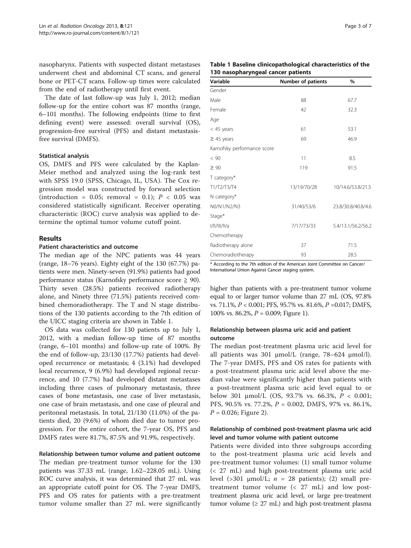nasopharynx. Patients with suspected distant metastases underwent chest and abdominal CT scans, and general bone or PET-CT scans. Follow-up times were calculated from the end of radiotherapy until first event.

The date of last follow-up was July 1, 2012; median follow-up for the entire cohort was 87 months (range, 6–101 months). The following endpoints (time to first defining event) were assessed: overall survival (OS), progression-free survival (PFS) and distant metastasisfree survival (DMFS).

### Statistical analysis

OS, DMFS and PFS were calculated by the Kaplan-Meier method and analyzed using the log-rank test with SPSS 19.0 (SPSS, Chicago, IL, USA). The Cox regression model was constructed by forward selection (introduction = 0.05; removal = 0.1);  $P < 0.05$  was considered statistically significant. Receiver operating characteristic (ROC) curve analysis was applied to determine the optimal tumor volume cutoff point.

#### Results

#### Patient characteristics and outcome

The median age of the NPC patients was 44 years (range, 18–76 years). Eighty eight of the 130 (67.7%) patients were men. Ninety-seven (91.9%) patients had good performance status (Karnofsky performance score ≧ 90). Thirty seven (28.5%) patients received radiotherapy alone, and Ninety three (71.5%) patients received combined chemoradiotherapy. The T and N stage distributions of the 130 patients according to the 7th edition of the UICC staging criteria are shown in Table 1.

OS data was collected for 130 patients up to July 1, 2012, with a median follow-up time of 87 months (range, 6–101 months) and follow-up rate of 100%. By the end of follow-up, 23/130 (17.7%) patients had developed recurrence or metastasis; 4 (3.1%) had developed local recurrence, 9 (6.9%) had developed regional recurrence, and 10 (7.7%) had developed distant metastases including three cases of pulmonary metastasis, three cases of bone metastasis, one case of liver metastasis, one case of brain metastasis, and one case of pleural and peritoneal metastasis. In total, 21/130 (11.0%) of the patients died, 20 (9.6%) of whom died due to tumor progression. For the entire cohort, the 7-year OS, PFS and DMFS rates were 81.7%, 87.5% and 91.9%, respectively.

Relationship between tumor volume and patient outcome The median pre-treatment tumor volume for the 130 patients was 37.33 mL (range, 1.62–228.05 mL). Using ROC curve analysis, it was determined that 27 mL was an appropriate cutoff point for OS. The 7-year DMFS, PFS and OS rates for patients with a pre-treatment tumor volume smaller than 27 mL were significantly

| Table 1 Baseline clinicopathological characteristics of the |  |
|-------------------------------------------------------------|--|
| 130 nasopharyngeal cancer patients                          |  |

| Variable                    | <b>Number of patients</b> | %                  |
|-----------------------------|---------------------------|--------------------|
| Gender                      |                           |                    |
| Male                        | 88                        | 67.7               |
| Female                      | 42                        | 32.3               |
| Age                         |                           |                    |
| $<$ 45 years                | 61                        | 53.1               |
| $\geq$ 45 years             | 69                        | 46.9               |
| Karnofsky performance score |                           |                    |
| < 90                        | 11                        | 8.5                |
| $\geq 90$                   | 119                       | 91.5               |
| T category*                 |                           |                    |
| T1/T2/T3/T4                 | 13/19/70/28               | 10/14.6/53.8/21.5  |
| N category*                 |                           |                    |
| N0/N1/N2/N3                 | 31/40/53/6                | 23.8/30.8/40.8/4.6 |
| Stage*                      |                           |                    |
| I/II/III/IVa                | 7/17/73/33                | 5.4/13.1/56.2/56.2 |
| Chemotherapy                |                           |                    |
| Radiotherapy alone          | 37                        | 71.5               |
| Chemoradiotherapy           | 93                        | 28.5               |

\* According to the 7th edition of the American Joint Committee on Cancer/ International Union Against Cancer staging system.

higher than patients with a pre-treatment tumor volume equal to or larger tumor volume than 27 mL (OS, 97.8% vs. 71.1%, P < 0.001; PFS, 95.7% vs. 81.6%, P =0.017; DMFS, 100% vs. 86.2%,  $P = 0.009$ ; Figure [1\)](#page-3-0).

## Relationship between plasma uric acid and patient outcome

The median post-treatment plasma uric acid level for all patients was 301 μmol/L (range, 78–624 μmol/l). The 7-year DMFS, PFS and OS rates for patients with a post-treatment plasma uric acid level above the median value were significantly higher than patients with a post-treatment plasma uric acid level equal to or below 301 μmol/L (OS, 93.7% vs. 66.3%,  $P < 0.001$ ; PFS, 90.5% vs. 77.2%, P = 0.002, DMFS, 97% vs. 86.1%,  $P = 0.026$ ; Figure [2](#page-3-0)).

## Relationship of combined post-treatment plasma uric acid level and tumor volume with patient outcome

Patients were divided into three subgroups according to the post-treatment plasma uric acid levels and pre-treatment tumor volumes: (1) small tumor volume (< 27 mL) and high post-treatment plasma uric acid level (>301 μmol/L;  $n = 28$  patients); (2) small pretreatment tumor volume (< 27 mL) and low posttreatment plasma uric acid level, or large pre-treatment tumor volume  $(≥ 27 mL)$  and high post-treatment plasma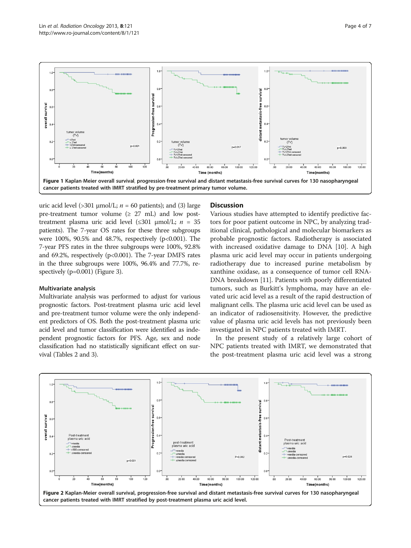<span id="page-3-0"></span>

uric acid level (>301 μmol/L;  $n = 60$  patients); and (3) large pre-treatment tumor volume  $(≥ 27 mL)$  and low posttreatment plasma uric acid level  $(\leq 301 \text{ \mu mol/L}; n = 35$ patients). The 7-year OS rates for these three subgroups were 100%, 90.5% and 48.7%, respectively (p<0.001). The 7-year PFS rates in the three subgroups were 100%, 92.8% and 69.2%, respectively  $(p<0.001)$ . The 7-year DMFS rates in the three subgroups were 100%, 96.4% and 77.7%, re-spectively (p=0.001) (Figure [3\)](#page-4-0).

#### Multivariate analysis

Multivariate analysis was performed to adjust for various prognostic factors. Post-treatment plasma uric acid level and pre-treatment tumor volume were the only independent predictors of OS. Both the post-treatment plasma uric acid level and tumor classification were identified as independent prognostic factors for PFS. Age, sex and node classification had no statistically significant effect on survival (Tables [2](#page-4-0) and [3](#page-4-0)).

#### **Discussion**

Various studies have attempted to identify predictive factors for poor patient outcome in NPC, by analyzing traditional clinical, pathological and molecular biomarkers as probable prognostic factors. Radiotherapy is associated with increased oxidative damage to DNA [\[10](#page-5-0)]. A high plasma uric acid level may occur in patients undergoing radiotherapy due to increased purine metabolism by xanthine oxidase, as a consequence of tumor cell RNA-DNA breakdown [[11](#page-5-0)]. Patients with poorly differentiated tumors, such as Burkitt's lymphoma, may have an elevated uric acid level as a result of the rapid destruction of malignant cells. The plasma uric acid level can be used as an indicator of radiosensitivity. However, the predictive value of plasma uric acid levels has not previously been investigated in NPC patients treated with IMRT.

In the present study of a relatively large cohort of NPC patients treated with IMRT, we demonstrated that the post-treatment plasma uric acid level was a strong

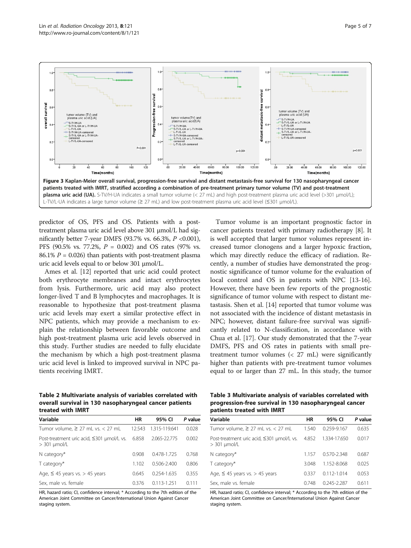<span id="page-4-0"></span>

predictor of OS, PFS and OS. Patients with a posttreatment plasma uric acid level above 301 μmol/L had significantly better 7-year DMFS (93.7% vs. 66.3%,  $P < 0.001$ ), PFS (90.5% vs. 77.2%,  $P = 0.002$ ) and OS rates (97% vs. 86.1%  $P = 0.026$ ) than patients with post-treatment plasma uric acid levels equal to or below 301 μmol/L.

Ames et al. [\[12](#page-5-0)] reported that uric acid could protect both erythrocyte membranes and intact erythrocytes from lysis. Furthermore, uric acid may also protect longer-lived T and B lymphocytes and macrophages. It is reasonable to hypothesize that post-treatment plasma uric acid levels may exert a similar protective effect in NPC patients, which may provide a mechanism to explain the relationship between favorable outcome and high post-treatment plasma uric acid levels observed in this study. Further studies are needed to fully elucidate the mechanism by which a high post-treatment plasma uric acid level is linked to improved survival in NPC patients receiving IMRT.

Tumor volume is an important prognostic factor in cancer patients treated with primary radiotherapy [\[8](#page-5-0)]. It is well accepted that larger tumor volumes represent increased tumor clonogens and a larger hypoxic fraction, which may directly reduce the efficacy of radiation. Recently, a number of studies have demonstrated the prognostic significance of tumor volume for the evaluation of local control and OS in patients with NPC [\[13-16](#page-6-0)]. However, there have been few reports of the prognostic significance of tumor volume with respect to distant metastasis. Shen et al. [\[14](#page-6-0)] reported that tumor volume was not associated with the incidence of distant metastasis in NPC; however, distant failure-free survival was significantly related to N-classification, in accordance with Chua et al. [[17](#page-6-0)]. Our study demonstrated that the 7-year DMFS, PFS and OS rates in patients with small pretreatment tumor volumes (< 27 mL) were significantly higher than patients with pre-treatment tumor volumes equal to or larger than 27 mL. In this study, the tumor

Table 2 Multivariate analysis of variables correlated with overall survival in 130 nasopharyngeal cancer patients treated with IMRT

| Variable                                                               | HR     | 95% CI          | P value |
|------------------------------------------------------------------------|--------|-----------------|---------|
| Tumor volume, $\geq$ 27 mL vs. $<$ 27 mL                               | 12.543 | 1.315-119.641   | 0.028   |
| Post-treatment uric acid, ≤301 µmol/L vs. 6.858<br>$>$ 301 $\mu$ mol/L |        | 2.065-22.775    | 0.002   |
| $N$ category*                                                          | 0.908  | 0.478-1.725     | 0.768   |
| T category*                                                            | 1.102  | $0.506 - 2.400$ | 0.806   |
| Age, $\leq$ 45 years vs. > 45 years                                    | 0.645  | 0.254-1.635     | 0.355   |
| Sex, male vs. female                                                   | 0.376  | $0.113 - 1.251$ | 0.111   |

HR, hazard ratio; CI, confidence interval; \* According to the 7th edition of the American Joint Committee on Cancer/International Union Against Cancer staging system.

Table 3 Multivariate analysis of variables correlated with progression-free survival in 130 nasopharyngeal cancer patients treated with IMRT

| Variable                                                         | HR    | 95% CI          | P value |
|------------------------------------------------------------------|-------|-----------------|---------|
| Tumor volume, $\geq$ 27 mL vs. < 27 mL                           | 1.540 | 0.259-9.167     | 0.635   |
| Post-treatment uric acid, ≤301 µmol/L vs.<br>$>$ 301 $\mu$ mol/L | 4.852 | 1.334-17.650    | 0.017   |
| $N$ category $*$                                                 | 1.157 | $0.570 - 2.348$ | 0.687   |
| $T$ category $*$                                                 | 3.048 | 1152-8068       | 0.025   |
| Age, $\leq$ 45 years vs. > 45 years                              | 0.337 | $0112 - 1014$   | 0.053   |
| Sex, male vs. female                                             | 0.748 | 0.245-2.287     | 0.611   |

HR, hazard ratio; CI, confidence interval; \* According to the 7th edition of the American Joint Committee on Cancer/International Union Against Cancer staging system.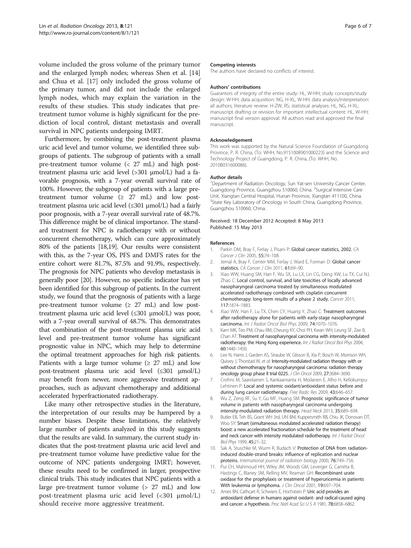<span id="page-5-0"></span>volume included the gross volume of the primary tumor and the enlarged lymph nodes; whereas Shen et al. [[14](#page-6-0)] and Chua et al. [\[17\]](#page-6-0) only included the gross volume of the primary tumor, and did not include the enlarged lymph nodes, which may explain the variation in the results of these studies. This study indicates that pretreatment tumor volume is highly significant for the prediction of local control, distant metastasis and overall survival in NPC patients undergoing IMRT.

Furthermore, by combining the post-treatment plasma uric acid level and tumor volume, we identified three subgroups of patients. The subgroup of patients with a small pre-treatment tumor volume (< 27 mL) and high posttreatment plasma uric acid level (>301 μmol/L) had a favorable prognosis, with a 7-year overall survival rate of 100%. However, the subgroup of patients with a large pretreatment tumor volume  $(2 27 \text{ mL})$  and low posttreatment plasma uric acid level (≤301 μmol/L) had a fairly poor prognosis, with a 7-year overall survival rate of 48.7%. This difference might be of clinical importance. The standard treatment for NPC is radiotherapy with or without concurrent chemotherapy, which can cure approximately 80% of the patients [\[18,19\]](#page-6-0). Our results were consistent with this, as the 7-year OS, PFS and DMFS rates for the entire cohort were 81.7%, 87.5% and 91.9%, respectively. The prognosis for NPC patients who develop metastasis is generally poor [\[20\]](#page-6-0). However, no specific indicator has yet been identified for this subgroup of patients. In the current study, we found that the prognosis of patients with a large pre-treatment tumor volume  $(2 27 \text{ mL})$  and low posttreatment plasma uric acid level (≤301 μmol/L) was poor, with a 7-year overall survival of 48.7%. This demonstrates that combination of the post-treatment plasma uric acid level and pre-treatment tumor volume has significant prognostic value in NPC, which may help to determine the optimal treatment approaches for high risk patients. Patients with a large tumor volume ( $\geq$  27 mL) and low post-treatment plasma uric acid level (≤301 μmol/L) may benefit from newer, more aggressive treatment approaches, such as adjuvant chemotherapy and additional accelerated hyperfractionated radiotherapy.

Like many other retrospective studies in the literature, the interpretation of our results may be hampered by a number biases. Despite these limitations, the relatively large number of patients analyzed in this study suggests that the results are valid. In summary, the current study indicates that the post-treatment plasma uric acid level and pre-treatment tumor volume have predictive value for the outcome of NPC patients undergoing IMRT; however, these results need to be confirmed in larger, prospective clinical trials. This study indicates that NPC patients with a large pre-treatment tumor volume (> 27 mL) and low post-treatment plasma uric acid level (<301 μmol/L) should receive more aggressive treatment.

#### Competing interests

The authors have declared no conflicts of interest.

#### Authors' contributions

Guarantors of integrity of the entire study: HL, W-HH; study concepts/study design: W-HH; data acquisition: NG, H-XL, W-HH; data analysis/interpretation: all authors; literature review: H-ZW, RS; statistical analyses: HL, NG, H-XL; manuscript drafting or revision for important intellectual content: HL, W-HH; manuscript final version approval: All authors read and approved the final manuscript.

#### Acknowledgement

This work was supported by the Natural Science Foundation of Guangdong Province, P. R. China, (To: WHH, No.9151008901000223) and the Science and Technology Project of Guangdong, P. R. China, (To: WHH, No. 2010B031600086).

#### Author details

<sup>1</sup>Department of Radiation Oncology, Sun Yat-sen University Cancer Center Guangdong Province, Guangzhou 510060, China. <sup>2</sup>Surgical Intensive Care Unit, Xiangtan Central Hospital, Hunan Province, Xiangtan 411100, China. <sup>3</sup>State Key Laboratory of Oncology in South China, Guangdong Province, Guangzhou 510060, China.

#### Received: 18 December 2012 Accepted: 8 May 2013 Published: 15 May 2013

#### References

- 1. Parkin DM, Bray F, Ferlay J, Pisani P: Global cancer statistics, 2002. CA Cancer J Clin 2005, 55:74–108.
- 2. Jemal A, Bray F, Center MM, Ferlay J, Ward F, Forman D: Global cancer statistics. CA Cancer J Clin 2011, 61:69-90.
- Xiao WW, Huang SM, Han F, Wu SX, Lu LX, Lin CG, Deng XW, Lu TX, Cui NJ, Zhao C: Local control, survival, and late toxicities of locally advanced nasopharyngeal carcinoma treated by simultaneous modulated accelerated radiotherapy combined with cisplatin concurrent chemotherapy: long-term results of a phase 2 study. Cancer 2011, 117:1874–1883.
- 4. Xiao WW, Han F, Lu TX, Chen CY, Huang Y, Zhao C: Treatment outcomes after radiotherapy alone for patients with early-stage nasopharyngeal carcinoma. Int J Radiat Oncol Biol Phys 2009, 74:1070–1076.
- 5. Kam MK, Teo PM, Chau RM, Cheung KY, Choi PH, Kwan WH, Leung SF, Zee B, Chan AT: Treatment of nasopharyngeal carcinoma with intensity-modulated radiotherapy: the Hong Kong experience. Int J Radiat Oncol Biol Phys 2004, 60:1440–1450.
- 6. Lee N, Harris J, Garden AS, Straube W, Glisson B, Xia P, Bosch W, Morrison WH, Quivey J, Thorstad W, et al: Intensity-modulated radiation therapy with or without chemotherapy for nasopharyngeal carcinoma: radiation therapy oncology group phase II trial 0225. J Clin Oncol 2009, 27:3684–3690.
- 7. Crohns M, Saarelainen S, Kankaanranta H, Moilanen E, Alho H, Kellokumpu-Lehtinen P: Local and systemic oxidant/antioxidant status before and during lung cancer radiotherapy. Free Radic Res 2009, 43:646–657.
- 8. Wu Z, Zeng RF, Su Y, Gu MF, Huang SM: Prognostic significance of tumor volume in patients with nasopharyngeal carcinoma undergoing intensity-modulated radiation therapy. Head Neck 2013, 35:689–694.
- 9. Butler EB, Teh BS, Grant WH 3rd, Uhl BM, Kuppersmith RB, Chiu JK, Donovan DT, Woo SY: Smart (simultaneous modulated accelerated radiation therapy) boost: a new accelerated fractionation schedule for the treatment of head and neck cancer with intensity modulated radiotherapy. Int J Radiat Oncol Biol Phys 1999, 45:21–32.
- 10. Sak A, Stuschke M, Wurm R, Budach V: Protection of DNA from radiationinduced double-strand breaks: influence of replication and nuclear proteins. International journal of radiation biology 2000, 76:749–756.
- 11. Pui CH, Mahmoud HH, Wiley JM, Woods GM, Leverger G, Camitta B, Hastings C, Blaney SM, Relling MV, Reaman GH: Recombinant urate oxidase for the prophylaxis or treatment of hyperuricemia in patients With leukemia or lymphoma. J Clin Oncol 2001, 19:697-704.
- 12. Ames BN, Cathcart R, Schwiers E, Hochstein P: Uric acid provides an antioxidant defense in humans against oxidant- and radical-caused aging and cancer: a hypothesis. Proc Natl Acad Sci U S A 1981, 78:6858-6862.